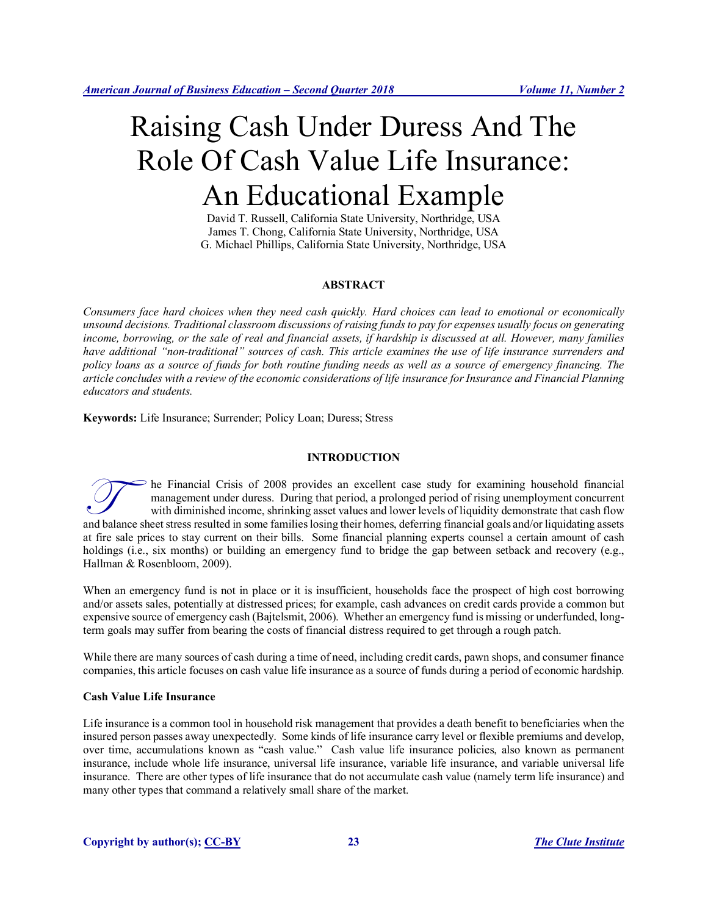# Raising Cash Under Duress And The Role Of Cash Value Life Insurance: An Educational Example

David T. Russell, California State University, Northridge, USA James T. Chong, California State University, Northridge, USA G. Michael Phillips, California State University, Northridge, USA

# **ABSTRACT**

*Consumers face hard choices when they need cash quickly. Hard choices can lead to emotional or economically unsound decisions. Traditional classroom discussions of raising funds to pay for expenses usually focus on generating income, borrowing, or the sale of real and financial assets, if hardship is discussed at all. However, many families have additional "non-traditional" sources of cash. This article examines the use of life insurance surrenders and policy loans as a source of funds for both routine funding needs as well as a source of emergency financing. The article concludes with a review of the economic considerations of life insurance for Insurance and Financial Planning educators and students.*

**Keywords:** Life Insurance; Surrender; Policy Loan; Duress; Stress

# **INTRODUCTION**

he Financial Crisis of 2008 provides an excellent case study for examining household financial management under duress. During that period, a prolonged period of rising unemployment concurrent with diminished income, shrinking asset values and lower levels of liquidity demonstrate that cash flow and balance sheet stress resulted in some families losing their homes, deferring financial goals and/or liquidating assets resulted in some families losing their homes, deferring financial goals and/or liquidating assets a at fire sale prices to stay current on their bills. Some financial planning experts counsel a certain amount of cash holdings (i.e., six months) or building an emergency fund to bridge the gap between setback and recovery (e.g., Hallman & Rosenbloom, 2009).

When an emergency fund is not in place or it is insufficient, households face the prospect of high cost borrowing and/or assets sales, potentially at distressed prices; for example, cash advances on credit cards provide a common but expensive source of emergency cash (Bajtelsmit, 2006). Whether an emergency fund is missing or underfunded, longterm goals may suffer from bearing the costs of financial distress required to get through a rough patch.

While there are many sources of cash during a time of need, including credit cards, pawn shops, and consumer finance companies, this article focuses on cash value life insurance as a source of funds during a period of economic hardship.

## **Cash Value Life Insurance**

Life insurance is a common tool in household risk management that provides a death benefit to beneficiaries when the insured person passes away unexpectedly. Some kinds of life insurance carry level or flexible premiums and develop, over time, accumulations known as "cash value." Cash value life insurance policies, also known as permanent insurance, include whole life insurance, universal life insurance, variable life insurance, and variable universal life insurance. There are other types of life insurance that do not accumulate cash value (namely term life insurance) and many other types that command a relatively small share of the market.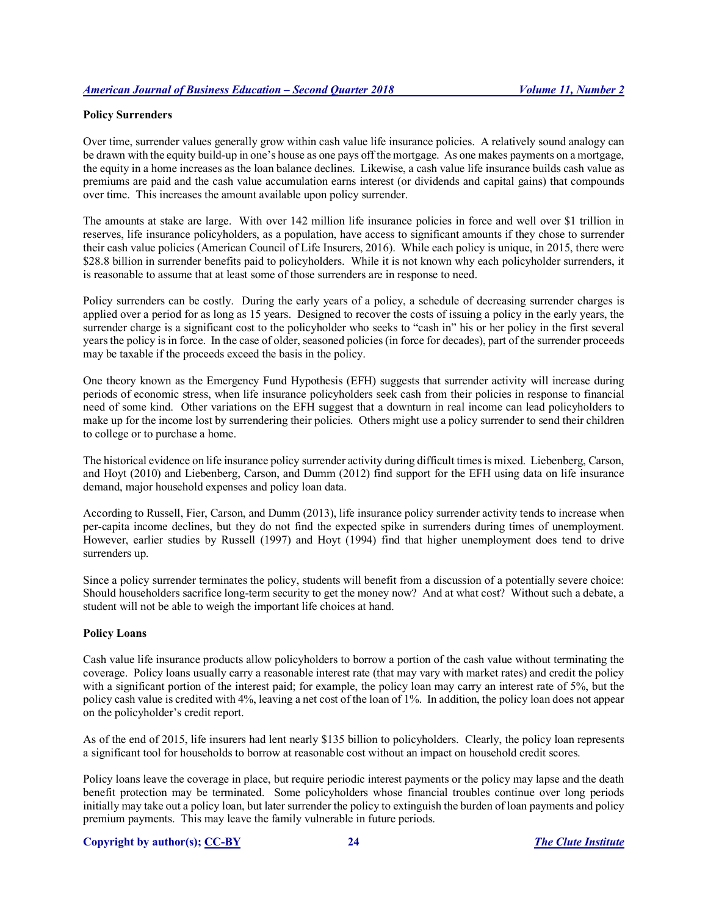### **Policy Surrenders**

Over time, surrender values generally grow within cash value life insurance policies. A relatively sound analogy can be drawn with the equity build-up in one's house as one pays off the mortgage. As one makes payments on a mortgage, the equity in a home increases as the loan balance declines. Likewise, a cash value life insurance builds cash value as premiums are paid and the cash value accumulation earns interest (or dividends and capital gains) that compounds over time. This increases the amount available upon policy surrender.

The amounts at stake are large. With over 142 million life insurance policies in force and well over \$1 trillion in reserves, life insurance policyholders, as a population, have access to significant amounts if they chose to surrender their cash value policies (American Council of Life Insurers, 2016). While each policy is unique, in 2015, there were \$28.8 billion in surrender benefits paid to policyholders. While it is not known why each policyholder surrenders, it is reasonable to assume that at least some of those surrenders are in response to need.

Policy surrenders can be costly. During the early years of a policy, a schedule of decreasing surrender charges is applied over a period for as long as 15 years. Designed to recover the costs of issuing a policy in the early years, the surrender charge is a significant cost to the policyholder who seeks to "cash in" his or her policy in the first several years the policy is in force. In the case of older, seasoned policies (in force for decades), part of the surrender proceeds may be taxable if the proceeds exceed the basis in the policy.

One theory known as the Emergency Fund Hypothesis (EFH) suggests that surrender activity will increase during periods of economic stress, when life insurance policyholders seek cash from their policies in response to financial need of some kind. Other variations on the EFH suggest that a downturn in real income can lead policyholders to make up for the income lost by surrendering their policies. Others might use a policy surrender to send their children to college or to purchase a home.

The historical evidence on life insurance policy surrender activity during difficult times is mixed. Liebenberg, Carson, and Hoyt (2010) and Liebenberg, Carson, and Dumm (2012) find support for the EFH using data on life insurance demand, major household expenses and policy loan data.

According to Russell, Fier, Carson, and Dumm (2013), life insurance policy surrender activity tends to increase when per-capita income declines, but they do not find the expected spike in surrenders during times of unemployment. However, earlier studies by Russell (1997) and Hoyt (1994) find that higher unemployment does tend to drive surrenders up.

Since a policy surrender terminates the policy, students will benefit from a discussion of a potentially severe choice: Should householders sacrifice long-term security to get the money now? And at what cost? Without such a debate, a student will not be able to weigh the important life choices at hand.

## **Policy Loans**

Cash value life insurance products allow policyholders to borrow a portion of the cash value without terminating the coverage. Policy loans usually carry a reasonable interest rate (that may vary with market rates) and credit the policy with a significant portion of the interest paid; for example, the policy loan may carry an interest rate of 5%, but the policy cash value is credited with 4%, leaving a net cost of the loan of 1%. In addition, the policy loan does not appear on the policyholder's credit report.

As of the end of 2015, life insurers had lent nearly \$135 billion to policyholders. Clearly, the policy loan represents a significant tool for households to borrow at reasonable cost without an impact on household credit scores.

Policy loans leave the coverage in place, but require periodic interest payments or the policy may lapse and the death benefit protection may be terminated. Some policyholders whose financial troubles continue over long periods initially may take out a policy loan, but later surrender the policy to extinguish the burden of loan payments and policy premium payments. This may leave the family vulnerable in future periods.

#### **Copyright by author(s); CC-BY 24** *The Clute Institute*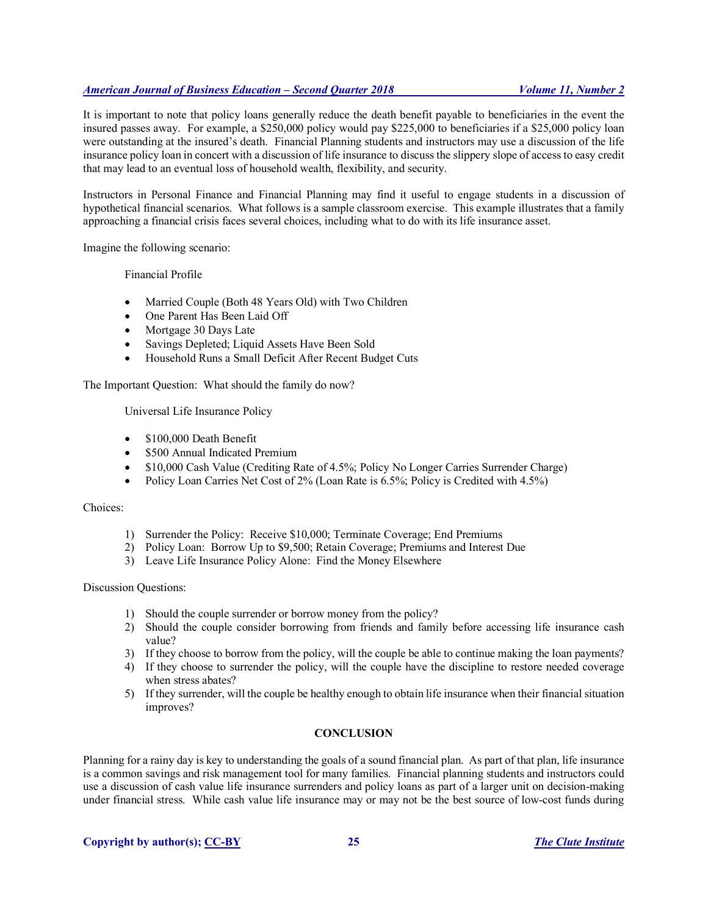# *American Journal of Business Education – Second Quarter 2018 Volume 11, Number 2*

It is important to note that policy loans generally reduce the death benefit payable to beneficiaries in the event the insured passes away. For example, a \$250,000 policy would pay \$225,000 to beneficiaries if a \$25,000 policy loan were outstanding at the insured's death. Financial Planning students and instructors may use a discussion of the life insurance policy loan in concert with a discussion of life insurance to discuss the slippery slope of access to easy credit that may lead to an eventual loss of household wealth, flexibility, and security.

Instructors in Personal Finance and Financial Planning may find it useful to engage students in a discussion of hypothetical financial scenarios. What follows is a sample classroom exercise. This example illustrates that a family approaching a financial crisis faces several choices, including what to do with its life insurance asset.

Imagine the following scenario:

Financial Profile

- Married Couple (Both 48 Years Old) with Two Children
- One Parent Has Been Laid Off
- Mortgage 30 Days Late
- Savings Depleted; Liquid Assets Have Been Sold
- Household Runs a Small Deficit After Recent Budget Cuts

The Important Question: What should the family do now?

Universal Life Insurance Policy

- \$100,000 Death Benefit
- \$500 Annual Indicated Premium
- \$10,000 Cash Value (Crediting Rate of 4.5%; Policy No Longer Carries Surrender Charge)
- Policy Loan Carries Net Cost of 2% (Loan Rate is 6.5%; Policy is Credited with 4.5%)

# Choices:

- 1) Surrender the Policy: Receive \$10,000; Terminate Coverage; End Premiums
- 2) Policy Loan: Borrow Up to \$9,500; Retain Coverage; Premiums and Interest Due
- 3) Leave Life Insurance Policy Alone: Find the Money Elsewhere

Discussion Questions:

- 1) Should the couple surrender or borrow money from the policy?
- 2) Should the couple consider borrowing from friends and family before accessing life insurance cash value?
- 3) If they choose to borrow from the policy, will the couple be able to continue making the loan payments?
- 4) If they choose to surrender the policy, will the couple have the discipline to restore needed coverage when stress abates?
- 5) If they surrender, will the couple be healthy enough to obtain life insurance when their financial situation improves?

## **CONCLUSION**

Planning for a rainy day is key to understanding the goals of a sound financial plan. As part of that plan, life insurance is a common savings and risk management tool for many families. Financial planning students and instructors could use a discussion of cash value life insurance surrenders and policy loans as part of a larger unit on decision-making under financial stress. While cash value life insurance may or may not be the best source of low-cost funds during